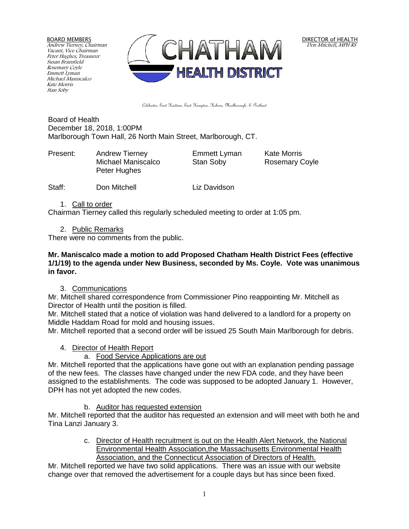BOARD MEMBERS Andrew Tierney, Chairman Vacant, Vice Chairman Peter Hughes, Treasurer Susan Bransfield Rosemary Coyle Emmett Lyman Michael Maniscalco Kate Morris Stan Soby



Colchester, East Haddam, East Hampton, Hebron, Marlborough, & Portland

Board of Health December 18, 2018, 1:00PM Marlborough Town Hall, 26 North Main Street, Marlborough, CT.

Present: Andrew Tierney Emmett Lyman Kate Morris Michael Maniscalco Stan Soby Rosemary Coyle Peter Hughes

Staff: Don Mitchell **Example 20** Liz Davidson

#### 1. Call to order

Chairman Tierney called this regularly scheduled meeting to order at 1:05 pm.

2. Public Remarks

There were no comments from the public.

#### **Mr. Maniscalco made a motion to add Proposed Chatham Health District Fees (effective 1/1/19) to the agenda under New Business, seconded by Ms. Coyle. Vote was unanimous in favor.**

## 3. Communications

Mr. Mitchell shared correspondence from Commissioner Pino reappointing Mr. Mitchell as Director of Health until the position is filled.

Mr. Mitchell stated that a notice of violation was hand delivered to a landlord for a property on Middle Haddam Road for mold and housing issues.

Mr. Mitchell reported that a second order will be issued 25 South Main Marlborough for debris.

## 4. Director of Health Report

# a. Food Service Applications are out

Mr. Mitchell reported that the applications have gone out with an explanation pending passage of the new fees. The classes have changed under the new FDA code, and they have been assigned to the establishments. The code was supposed to be adopted January 1. However, DPH has not yet adopted the new codes.

# b. Auditor has requested extension

Mr. Mitchell reported that the auditor has requested an extension and will meet with both he and Tina Lanzi January 3.

> c. Director of Health recruitment is out on the Health Alert Network, the National Environmental Health Association,the Massachusetts Environmental Health Association, and the Connecticut Association of Directors of Health.

Mr. Mitchell reported we have two solid applications. There was an issue with our website change over that removed the advertisement for a couple days but has since been fixed.